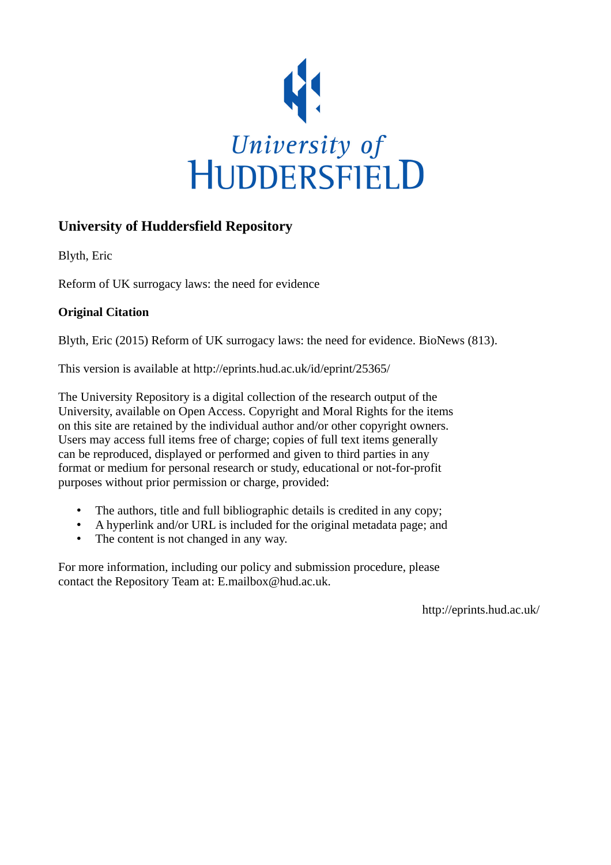

## **University of Huddersfield Repository**

Blyth, Eric

Reform of UK surrogacy laws: the need for evidence

## **Original Citation**

Blyth, Eric (2015) Reform of UK surrogacy laws: the need for evidence. BioNews (813).

This version is available at http://eprints.hud.ac.uk/id/eprint/25365/

The University Repository is a digital collection of the research output of the University, available on Open Access. Copyright and Moral Rights for the items on this site are retained by the individual author and/or other copyright owners. Users may access full items free of charge; copies of full text items generally can be reproduced, displayed or performed and given to third parties in any format or medium for personal research or study, educational or not-for-profit purposes without prior permission or charge, provided:

- The authors, title and full bibliographic details is credited in any copy;
- A hyperlink and/or URL is included for the original metadata page; and
- The content is not changed in any way.

For more information, including our policy and submission procedure, please contact the Repository Team at: E.mailbox@hud.ac.uk.

http://eprints.hud.ac.uk/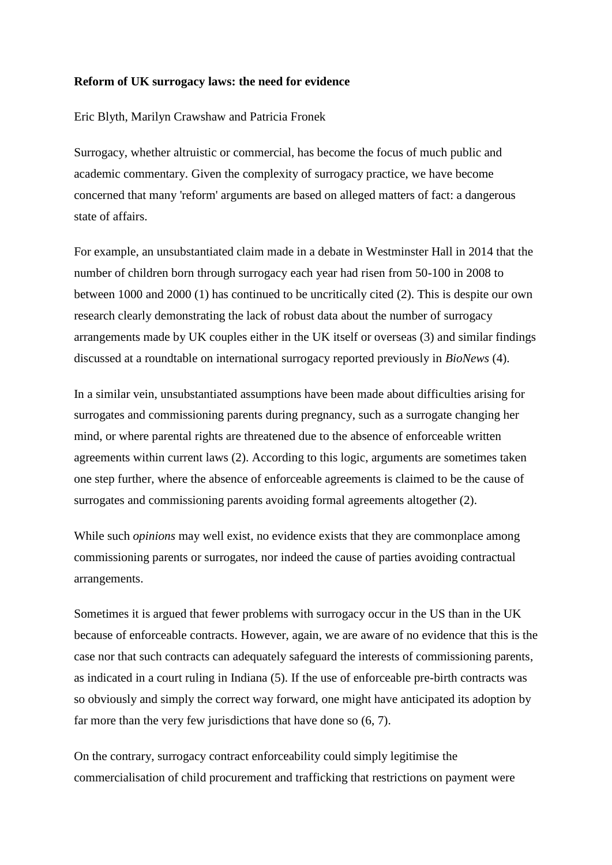## **Reform of UK surrogacy laws: the need for evidence**

Eric Blyth, Marilyn Crawshaw and Patricia Fronek

Surrogacy, whether altruistic or commercial, has become the focus of much public and academic commentary. Given the complexity of surrogacy practice, we have become concerned that many 'reform' arguments are based on alleged matters of fact: a dangerous state of affairs.

For example, an unsubstantiated claim made in a debate in Westminster Hall in 2014 that the number of children born through surrogacy each year had risen from 50-100 in 2008 to between 1000 and 2000 (1) has continued to be uncritically cited (2). This is despite our own research clearly demonstrating the lack of robust data about the number of surrogacy arrangements made by UK couples either in the UK itself or overseas (3) and similar findings discussed at a roundtable on international surrogacy reported previously in *BioNews* (4).

In a similar vein, unsubstantiated assumptions have been made about difficulties arising for surrogates and commissioning parents during pregnancy, such as a surrogate changing her mind, or where parental rights are threatened due to the absence of enforceable written agreements within current laws (2). According to this logic, arguments are sometimes taken one step further, where the absence of enforceable agreements is claimed to be the cause of surrogates and commissioning parents avoiding formal agreements altogether (2).

While such *opinions* may well exist, no evidence exists that they are commonplace among commissioning parents or surrogates, nor indeed the cause of parties avoiding contractual arrangements.

Sometimes it is argued that fewer problems with surrogacy occur in the US than in the UK because of enforceable contracts. However, again, we are aware of no evidence that this is the case nor that such contracts can adequately safeguard the interests of commissioning parents, as indicated in a court ruling in Indiana (5). If the use of enforceable pre-birth contracts was so obviously and simply the correct way forward, one might have anticipated its adoption by far more than the very few jurisdictions that have done so (6, 7).

On the contrary, surrogacy contract enforceability could simply legitimise the commercialisation of child procurement and trafficking that restrictions on payment were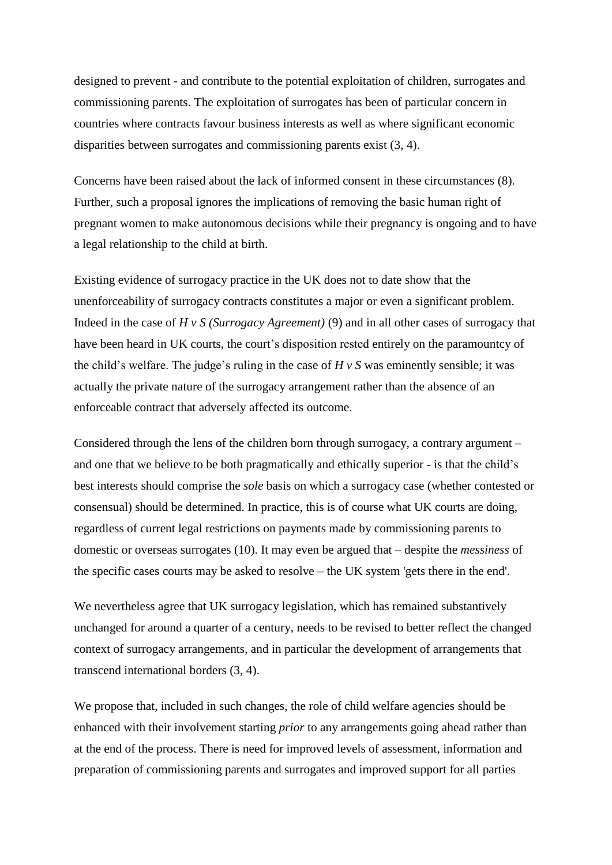designed to prevent - and contribute to the potential exploitation of children, surrogates and commissioning parents. The exploitation of surrogates has been of particular concern in countries where contracts favour business interests as well as where significant economic disparities between surrogates and commissioning parents exist (3, 4).

Concerns have been raised about the lack of informed consent in these circumstances (8). Further, such a proposal ignores the implications of removing the basic human right of pregnant women to make autonomous decisions while their pregnancy is ongoing and to have a legal relationship to the child at birth.

Existing evidence of surrogacy practice in the UK does not to date show that the unenforceability of surrogacy contracts constitutes a major or even a significant problem. Indeed in the case of *H v S (Surrogacy Agreement)* (9) and in all other cases of surrogacy that have been heard in UK courts, the court's disposition rested entirely on the paramountcy of the child's welfare. The judge's ruling in the case of *H v S* was eminently sensible; it was actually the private nature of the surrogacy arrangement rather than the absence of an enforceable contract that adversely affected its outcome.

Considered through the lens of the children born through surrogacy, a contrary argument – and one that we believe to be both pragmatically and ethically superior - is that the child's best interests should comprise the *sole* basis on which a surrogacy case (whether contested or consensual) should be determined. In practice, this is of course what UK courts are doing, regardless of current legal restrictions on payments made by commissioning parents to domestic or overseas surrogates (10). It may even be argued that – despite the *messiness* of the specific cases courts may be asked to resolve – the UK system 'gets there in the end'.

We nevertheless agree that UK surrogacy legislation, which has remained substantively unchanged for around a quarter of a century, needs to be revised to better reflect the changed context of surrogacy arrangements, and in particular the development of arrangements that transcend international borders (3, 4).

We propose that, included in such changes, the role of child welfare agencies should be enhanced with their involvement starting *prior* to any arrangements going ahead rather than at the end of the process. There is need for improved levels of assessment, information and preparation of commissioning parents and surrogates and improved support for all parties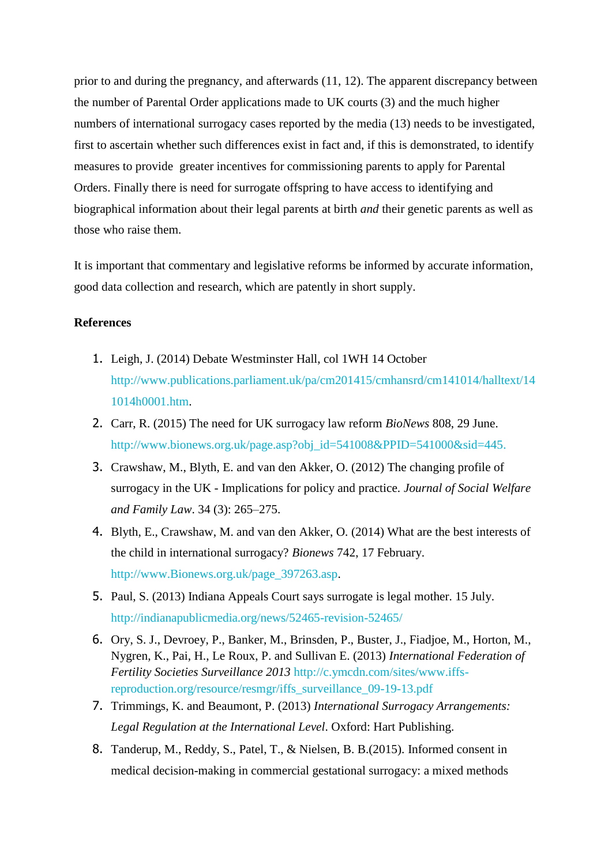prior to and during the pregnancy, and afterwards (11, 12). The apparent discrepancy between the number of Parental Order applications made to UK courts (3) and the much higher numbers of international surrogacy cases reported by the media (13) needs to be investigated, first to ascertain whether such differences exist in fact and, if this is demonstrated, to identify measures to provide greater incentives for commissioning parents to apply for Parental Orders. Finally there is need for surrogate offspring to have access to identifying and biographical information about their legal parents at birth *and* their genetic parents as well as those who raise them.

It is important that commentary and legislative reforms be informed by accurate information, good data collection and research, which are patently in short supply.

## **References**

- 1. Leigh, J. (2014) Debate Westminster Hall, col 1WH 14 October [http://www.publications.parliament.uk/pa/cm201415/cmhansrd/cm141014/halltext/14](http://www.publications.parliament.uk/pa/cm201415/cmhansrd/cm141014/halltext/141014h0001.htm) [1014h0001.htm.](http://www.publications.parliament.uk/pa/cm201415/cmhansrd/cm141014/halltext/141014h0001.htm)
- 2. Carr, R. (2015) The need for UK surrogacy law reform *BioNews* [808,](http://www.bionews.org.uk/page_541000.asp) 29 June. [http://www.bionews.org.uk/page.asp?obj\\_id=541008&PPID=541000&sid=445.](http://www.bionews.org.uk/page.asp?obj_id=541008&PPID=541000&sid=445)
- 3. Crawshaw, M., Blyth, E. and van den Akker, O. (2012) The changing profile of surrogacy in the UK - Implications for policy and practice. *Journal of Social Welfare and Family Law*. 34 (3): 265–275.
- 4. Blyth, E., Crawshaw, M. and van den Akker, O. (2014) What are the best interests of the child in international surrogacy? *Bionews* 742, 17 February. [http://www.Bionews.org.uk/page\\_397263.asp.](http://www.bionews.org.uk/page_397263.asp)
- 5. Paul, S. (2013) Indiana Appeals Court says surrogate is legal mother. 15 July. <http://indianapublicmedia.org/news/52465-revision-52465/>
- 6. Ory, S. J., Devroey, P., Banker, M., Brinsden, P., Buster, J., Fiadjoe, M., Horton, M., Nygren, K., Pai, H., Le Roux, P. and Sullivan E. (2013) *International Federation of Fertility Societies Surveillance 2013* [http://c.ymcdn.com/sites/www.iffs](http://c.ymcdn.com/sites/www.iffs-reproduction.org/resource/resmgr/iffs_surveillance_09-19-13.pdf)[reproduction.org/resource/resmgr/iffs\\_surveillance\\_09-19-13.pdf](http://c.ymcdn.com/sites/www.iffs-reproduction.org/resource/resmgr/iffs_surveillance_09-19-13.pdf)
- 7. Trimmings, K. and Beaumont, P. (2013) *International Surrogacy Arrangements: Legal Regulation at the International Level*. Oxford: Hart Publishing.
- 8. Tanderup, M., Reddy, S., Patel, T., & Nielsen, B. B.(2015). Informed consent in medical decision-making in commercial gestational surrogacy: a mixed methods